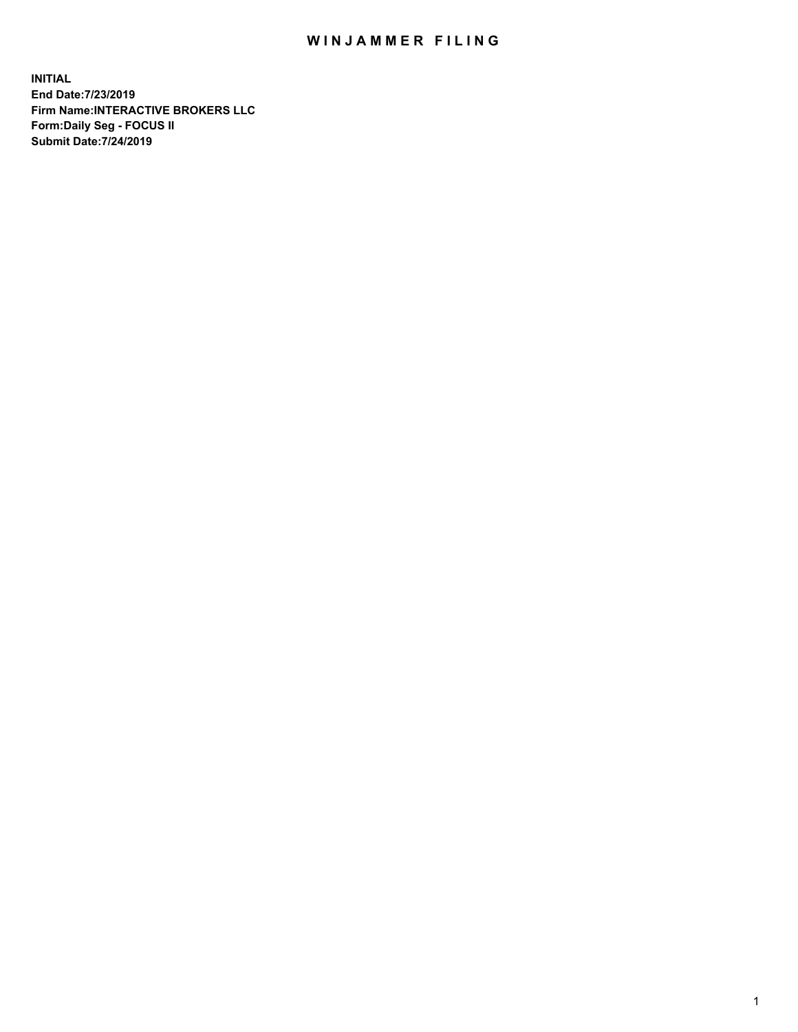## WIN JAMMER FILING

**INITIAL End Date:7/23/2019 Firm Name:INTERACTIVE BROKERS LLC Form:Daily Seg - FOCUS II Submit Date:7/24/2019**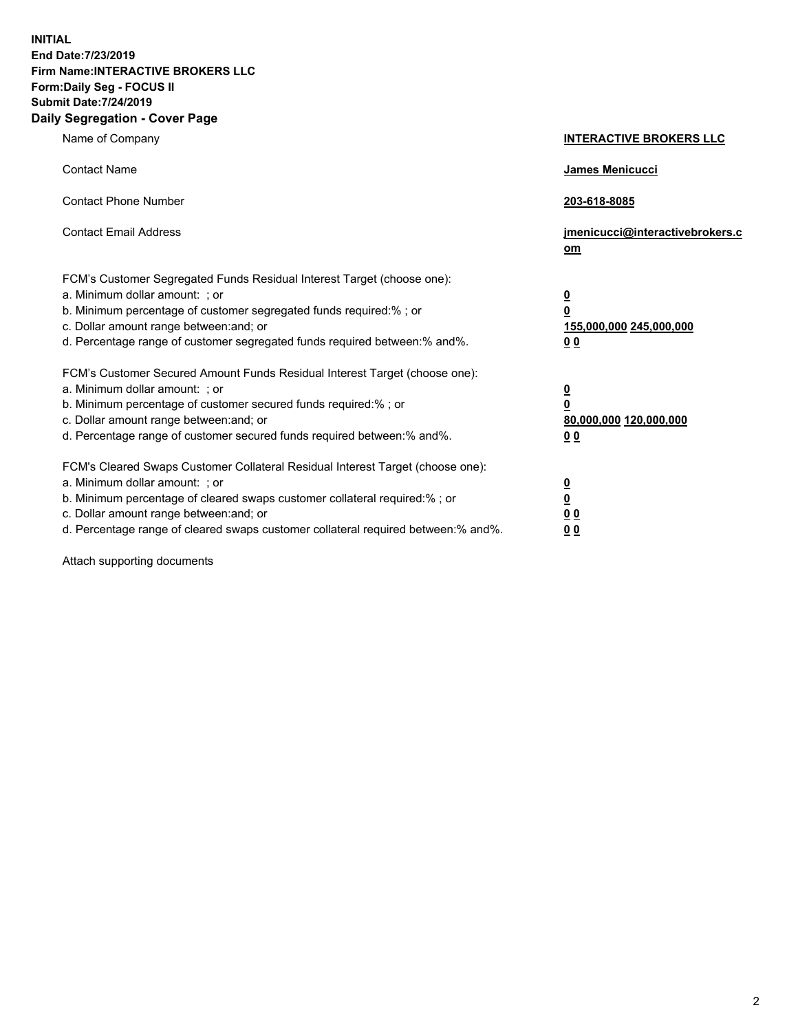**INITIAL End Date:7/23/2019 Firm Name:INTERACTIVE BROKERS LLC Form:Daily Seg - FOCUS II Submit Date:7/24/2019 Daily Segregation - Cover Page**

| Name of Company                                                                                                                                                                                                                                                                                                                | <b>INTERACTIVE BROKERS LLC</b>                                                                  |
|--------------------------------------------------------------------------------------------------------------------------------------------------------------------------------------------------------------------------------------------------------------------------------------------------------------------------------|-------------------------------------------------------------------------------------------------|
| <b>Contact Name</b>                                                                                                                                                                                                                                                                                                            | James Menicucci                                                                                 |
| <b>Contact Phone Number</b>                                                                                                                                                                                                                                                                                                    | 203-618-8085                                                                                    |
| <b>Contact Email Address</b>                                                                                                                                                                                                                                                                                                   | jmenicucci@interactivebrokers.c<br>om                                                           |
| FCM's Customer Segregated Funds Residual Interest Target (choose one):<br>a. Minimum dollar amount: ; or<br>b. Minimum percentage of customer segregated funds required:% ; or<br>c. Dollar amount range between: and; or<br>d. Percentage range of customer segregated funds required between:% and%.                         | $\overline{\mathbf{0}}$<br>$\overline{\mathbf{0}}$<br>155,000,000 245,000,000<br>0 <sub>0</sub> |
| FCM's Customer Secured Amount Funds Residual Interest Target (choose one):<br>a. Minimum dollar amount: ; or<br>b. Minimum percentage of customer secured funds required:%; or<br>c. Dollar amount range between: and; or<br>d. Percentage range of customer secured funds required between:% and%.                            | $\overline{\mathbf{0}}$<br>$\overline{\mathbf{0}}$<br>80,000,000 120,000,000<br>0 <sub>0</sub>  |
| FCM's Cleared Swaps Customer Collateral Residual Interest Target (choose one):<br>a. Minimum dollar amount: ; or<br>b. Minimum percentage of cleared swaps customer collateral required:% ; or<br>c. Dollar amount range between: and; or<br>d. Percentage range of cleared swaps customer collateral required between:% and%. | $\frac{0}{0}$<br>$\underline{0}$ $\underline{0}$<br>0 <sub>0</sub>                              |

Attach supporting documents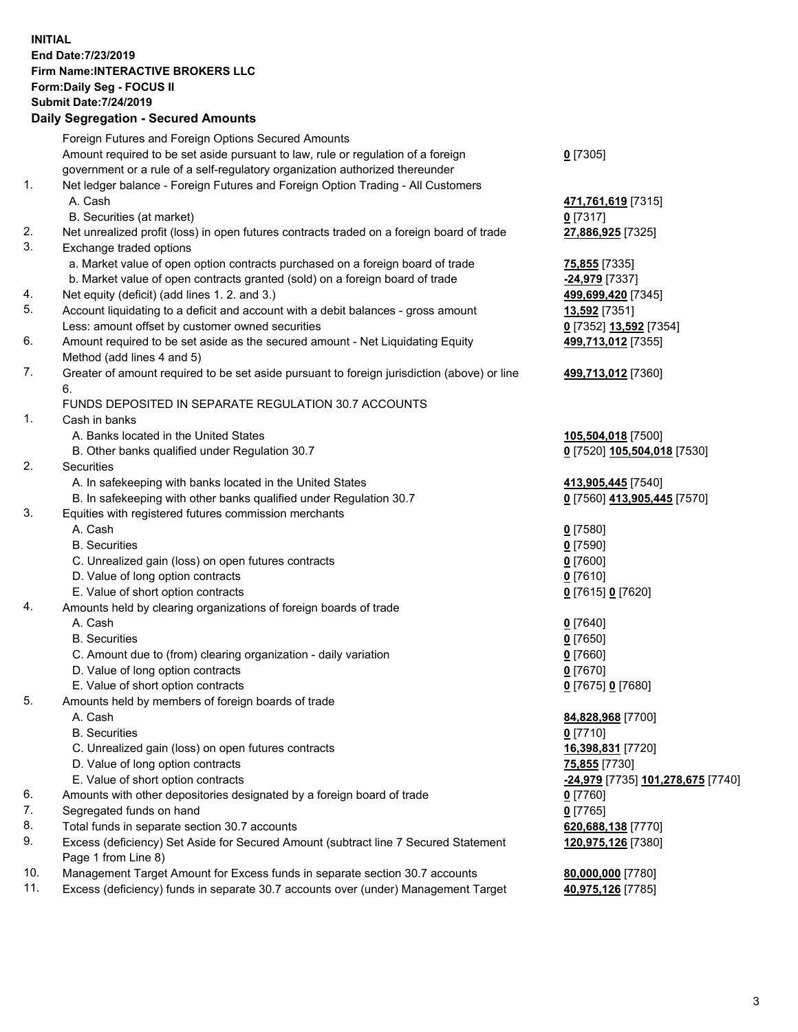## **INITIAL End Date:7/23/2019 Firm Name:INTERACTIVE BROKERS LLC Form:Daily Seg - FOCUS II Submit Date:7/24/2019 Daily Segregation - Secured Amounts**

|     | Daily Segregation - Secured Alliounts                                                       |                                                |
|-----|---------------------------------------------------------------------------------------------|------------------------------------------------|
|     | Foreign Futures and Foreign Options Secured Amounts                                         |                                                |
|     | Amount required to be set aside pursuant to law, rule or regulation of a foreign            | $0$ [7305]                                     |
|     | government or a rule of a self-regulatory organization authorized thereunder                |                                                |
| 1.  | Net ledger balance - Foreign Futures and Foreign Option Trading - All Customers             |                                                |
|     | A. Cash                                                                                     | 471,761,619 [7315]                             |
|     | B. Securities (at market)                                                                   | $0$ [7317]                                     |
| 2.  | Net unrealized profit (loss) in open futures contracts traded on a foreign board of trade   | 27,886,925 [7325]                              |
| 3.  | Exchange traded options                                                                     |                                                |
|     | a. Market value of open option contracts purchased on a foreign board of trade              | 75,855 [7335]                                  |
|     | b. Market value of open contracts granted (sold) on a foreign board of trade                | $-24,979$ [7337]                               |
| 4.  | Net equity (deficit) (add lines 1.2. and 3.)                                                | 499,699,420 [7345]                             |
| 5.  | Account liquidating to a deficit and account with a debit balances - gross amount           | 13,592 [7351]                                  |
|     | Less: amount offset by customer owned securities                                            | 0 [7352] 13,592 [7354]                         |
| 6.  | Amount required to be set aside as the secured amount - Net Liquidating Equity              | 499,713,012 [7355]                             |
|     | Method (add lines 4 and 5)                                                                  |                                                |
| 7.  | Greater of amount required to be set aside pursuant to foreign jurisdiction (above) or line | 499,713,012 [7360]                             |
|     | 6.                                                                                          |                                                |
|     | FUNDS DEPOSITED IN SEPARATE REGULATION 30.7 ACCOUNTS                                        |                                                |
| 1.  | Cash in banks                                                                               |                                                |
|     | A. Banks located in the United States                                                       | 105,504,018 [7500]                             |
|     | B. Other banks qualified under Regulation 30.7                                              | 0 [7520] 105,504,018 [7530]                    |
| 2.  | Securities                                                                                  |                                                |
|     | A. In safekeeping with banks located in the United States                                   | 413,905,445 [7540]                             |
|     | B. In safekeeping with other banks qualified under Regulation 30.7                          | 0 [7560] 413,905,445 [7570]                    |
| 3.  | Equities with registered futures commission merchants                                       |                                                |
|     | A. Cash                                                                                     | $0$ [7580]                                     |
|     | <b>B.</b> Securities                                                                        | $0$ [7590]                                     |
|     | C. Unrealized gain (loss) on open futures contracts                                         | $0$ [7600]                                     |
|     | D. Value of long option contracts                                                           | $0$ [7610]                                     |
| 4.  | E. Value of short option contracts                                                          | 0 [7615] 0 [7620]                              |
|     | Amounts held by clearing organizations of foreign boards of trade<br>A. Cash                |                                                |
|     | <b>B.</b> Securities                                                                        | $0$ [7640]<br>$0$ [7650]                       |
|     | C. Amount due to (from) clearing organization - daily variation                             | $0$ [7660]                                     |
|     | D. Value of long option contracts                                                           | $0$ [7670]                                     |
|     | E. Value of short option contracts                                                          | 0 [7675] 0 [7680]                              |
| 5.  | Amounts held by members of foreign boards of trade                                          |                                                |
|     | A. Cash                                                                                     | 84,828,968 [7700]                              |
|     | <b>B.</b> Securities                                                                        | $0$ [7710]                                     |
|     | C. Unrealized gain (loss) on open futures contracts                                         | 16,398,831 [7720]                              |
|     | D. Value of long option contracts                                                           | 75,855 [7730]                                  |
|     | E. Value of short option contracts                                                          | <mark>-24,979</mark> [7735] 101,278,675 [7740] |
| 6.  | Amounts with other depositories designated by a foreign board of trade                      | $0$ [7760]                                     |
| 7.  | Segregated funds on hand                                                                    | $0$ [7765]                                     |
| 8.  | Total funds in separate section 30.7 accounts                                               | 620,688,138 [7770]                             |
| 9.  | Excess (deficiency) Set Aside for Secured Amount (subtract line 7 Secured Statement         | 120,975,126 [7380]                             |
|     | Page 1 from Line 8)                                                                         |                                                |
| 10. | Management Target Amount for Excess funds in separate section 30.7 accounts                 | 80,000,000 [7780]                              |
| 11. | Excess (deficiency) funds in separate 30.7 accounts over (under) Management Target          | 40,975,126 [7785]                              |
|     |                                                                                             |                                                |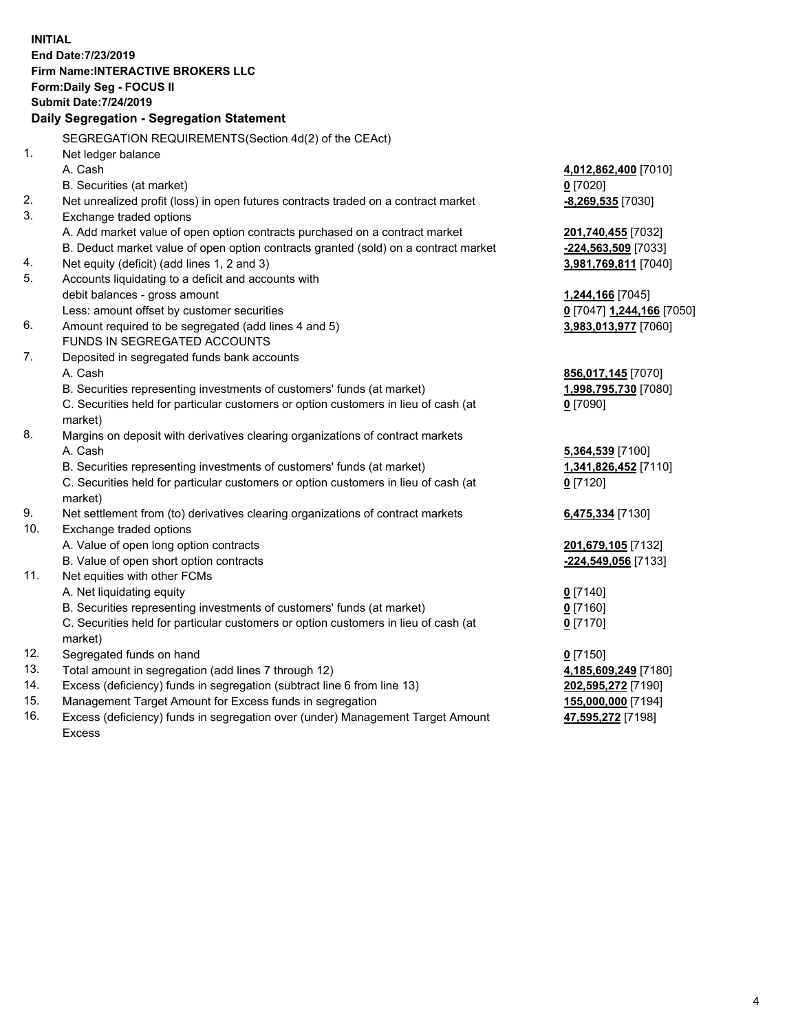**INITIAL End Date:7/23/2019 Firm Name:INTERACTIVE BROKERS LLC Form:Daily Seg - FOCUS II Submit Date:7/24/2019 Daily Segregation - Segregation Statement** SEGREGATION REQUIREMENTS(Section 4d(2) of the CEAct) 1. Net ledger balance A. Cash **4,012,862,400** [7010] B. Securities (at market) **0** [7020] 2. Net unrealized profit (loss) in open futures contracts traded on a contract market **-8,269,535** [7030] 3. Exchange traded options A. Add market value of open option contracts purchased on a contract market **201,740,455** [7032] B. Deduct market value of open option contracts granted (sold) on a contract market **-224,563,509** [7033] 4. Net equity (deficit) (add lines 1, 2 and 3) **3,981,769,811** [7040] 5. Accounts liquidating to a deficit and accounts with debit balances - gross amount **1,244,166** [7045] Less: amount offset by customer securities **0** [7047] **1,244,166** [7050] 6. Amount required to be segregated (add lines 4 and 5) **3,983,013,977** [7060] FUNDS IN SEGREGATED ACCOUNTS 7. Deposited in segregated funds bank accounts A. Cash **856,017,145** [7070] B. Securities representing investments of customers' funds (at market) **1,998,795,730** [7080] C. Securities held for particular customers or option customers in lieu of cash (at market) **0** [7090] 8. Margins on deposit with derivatives clearing organizations of contract markets A. Cash **5,364,539** [7100] B. Securities representing investments of customers' funds (at market) **1,341,826,452** [7110] C. Securities held for particular customers or option customers in lieu of cash (at market) **0** [7120] 9. Net settlement from (to) derivatives clearing organizations of contract markets **6,475,334** [7130] 10. Exchange traded options A. Value of open long option contracts **201,679,105** [7132] B. Value of open short option contracts **-224,549,056** [7133] 11. Net equities with other FCMs A. Net liquidating equity **0** [7140] B. Securities representing investments of customers' funds (at market) **0** [7160] C. Securities held for particular customers or option customers in lieu of cash (at market) **0** [7170] 12. Segregated funds on hand **0** [7150] 13. Total amount in segregation (add lines 7 through 12) **4,185,609,249** [7180] 14. Excess (deficiency) funds in segregation (subtract line 6 from line 13) **202,595,272** [7190] 15. Management Target Amount for Excess funds in segregation **155,000,000** [7194]

16. Excess (deficiency) funds in segregation over (under) Management Target Amount Excess

**47,595,272** [7198]